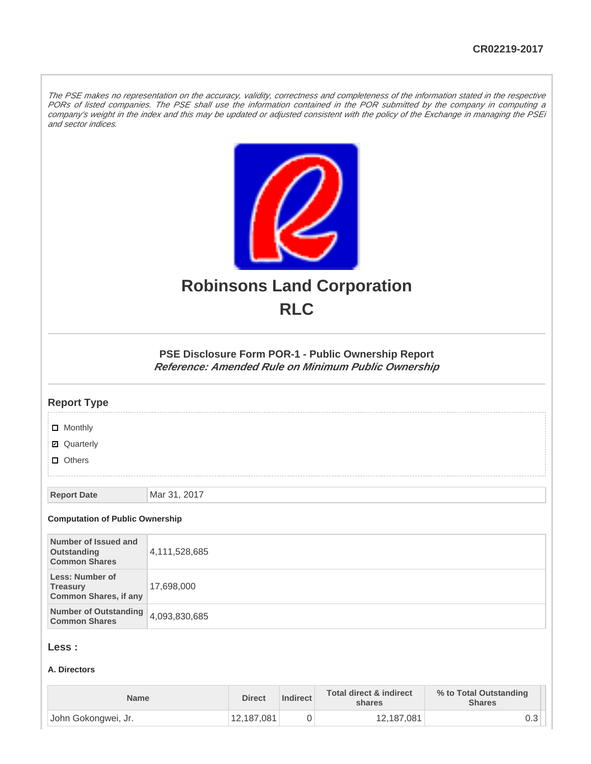The PSE makes no representation on the accuracy, validity, correctness and completeness of the information stated in the respective PORs of listed companies. The PSE shall use the information contained in the POR submitted by the company in computing a company's weight in the index and this may be updated or adjusted consistent with the policy of the Exchange in managing the PSEi and sector indices.



# **Robinsons Land Corporation RLC**

## **PSE Disclosure Form POR-1 - Public Ownership Report Reference: Amended Rule on Minimum Public Ownership**

#### **Report Type**

**D** Monthly

■ Quarterly

**D** Others

**Report Date** Mar 31, 2017

#### **Computation of Public Ownership**

| Number of Issued and<br>Outstanding<br><b>Common Shares</b>        | 4,111,528,685 |
|--------------------------------------------------------------------|---------------|
| Less: Number of<br><b>Treasury</b><br><b>Common Shares, if any</b> | 17,698,000    |
| Number of Outstanding 4,093,830,685<br><b>Common Shares</b>        |               |

### **Less :**

#### **A. Directors**

| <b>Name</b>         | <b>Direct</b> | Indirect | <b>Total direct &amp; indirect</b><br>shares | % to Total Outstanding<br><b>Shares</b> |
|---------------------|---------------|----------|----------------------------------------------|-----------------------------------------|
| John Gokongwei, Jr. | 12,187,081    |          | 12,187,081                                   | ∪.∪                                     |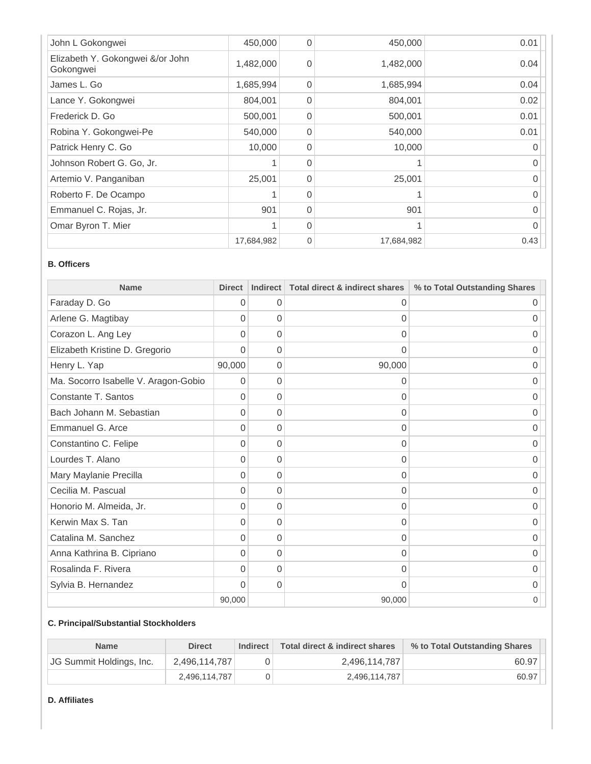| John L Gokongwei                              | 450,000    | $\Omega$ | 450,000    | 0.01 |
|-----------------------------------------------|------------|----------|------------|------|
| Elizabeth Y. Gokongwei &/or John<br>Gokongwei | 1,482,000  | $\Omega$ | 1,482,000  | 0.04 |
| James L. Go                                   | 1,685,994  | $\Omega$ | 1,685,994  | 0.04 |
| Lance Y. Gokongwei                            | 804,001    | $\Omega$ | 804,001    | 0.02 |
| Frederick D. Go                               | 500,001    | $\Omega$ | 500,001    | 0.01 |
| Robina Y. Gokongwei-Pe                        | 540,000    | $\Omega$ | 540,000    | 0.01 |
| Patrick Henry C. Go                           | 10,000     | $\Omega$ | 10,000     |      |
| Johnson Robert G. Go, Jr.                     |            | $\Omega$ |            |      |
| Artemio V. Panganiban                         | 25,001     | $\Omega$ | 25,001     |      |
| Roberto F. De Ocampo                          |            | $\Omega$ |            |      |
| Emmanuel C. Rojas, Jr.                        | 901        | $\Omega$ | 901        | O    |
| Omar Byron T. Mier                            |            | $\Omega$ |            |      |
|                                               | 17,684,982 | $\Omega$ | 17,684,982 | 0.43 |

#### **B. Officers**

| <b>Name</b>                          | <b>Direct</b> | <b>Indirect</b> | Total direct & indirect shares | % to Total Outstanding Shares |
|--------------------------------------|---------------|-----------------|--------------------------------|-------------------------------|
| Faraday D. Go                        | $\Omega$      | 0               | 0                              | O                             |
| Arlene G. Magtibay                   | 0             | $\Omega$        | $\Omega$                       | Ω                             |
| Corazon L. Ang Ley                   | $\Omega$      | $\overline{0}$  | 0                              | 0                             |
| Elizabeth Kristine D. Gregorio       | 0             | $\Omega$        | 0                              | 0                             |
| Henry L. Yap                         | 90,000        | 0               | 90,000                         | 0                             |
| Ma. Socorro Isabelle V. Aragon-Gobio | $\Omega$      | $\Omega$        | 0                              | Ω                             |
| Constante T. Santos                  | $\Omega$      | $\Omega$        | $\Omega$                       | 0                             |
| Bach Johann M. Sebastian             | $\Omega$      | 0               | $\Omega$                       | 0                             |
| Emmanuel G. Arce                     | $\Omega$      | $\Omega$        | 0                              | 0                             |
| Constantino C. Felipe                | $\Omega$      | 0               | 0                              | 0                             |
| Lourdes T. Alano                     | 0             | $\Omega$        | $\Omega$                       | 0                             |
| Mary Maylanie Precilla               | 0             | $\Omega$        | 0                              | 0                             |
| Cecilia M. Pascual                   | $\Omega$      | $\Omega$        | 0                              | 0                             |
| Honorio M. Almeida, Jr.              | $\Omega$      | 0               | 0                              | 0                             |
| Kerwin Max S. Tan                    | $\Omega$      | $\mathbf 0$     | 0                              | 0                             |
| Catalina M. Sanchez                  | 0             | $\Omega$        | 0                              | 0                             |
| Anna Kathrina B. Cipriano            | 0             | 0               | 0                              | 0                             |
| Rosalinda F. Rivera                  | 0             | $\Omega$        | 0                              | $\cup$                        |
| Sylvia B. Hernandez                  | $\Omega$      | 0               | 0                              | 0                             |
|                                      | 90,000        |                 | 90,000                         | 0                             |

### **C. Principal/Substantial Stockholders**

| <b>Name</b>              | <b>Direct</b> | Indirect | Total direct & indirect shares | % to Total Outstanding Shares |
|--------------------------|---------------|----------|--------------------------------|-------------------------------|
| JG Summit Holdings, Inc. | 2,496,114,787 |          | 2,496,114,787                  | 60.97                         |
|                          | 2.496.114.787 |          | 2,496,114,787                  | 60.97                         |

#### **D. Affiliates**